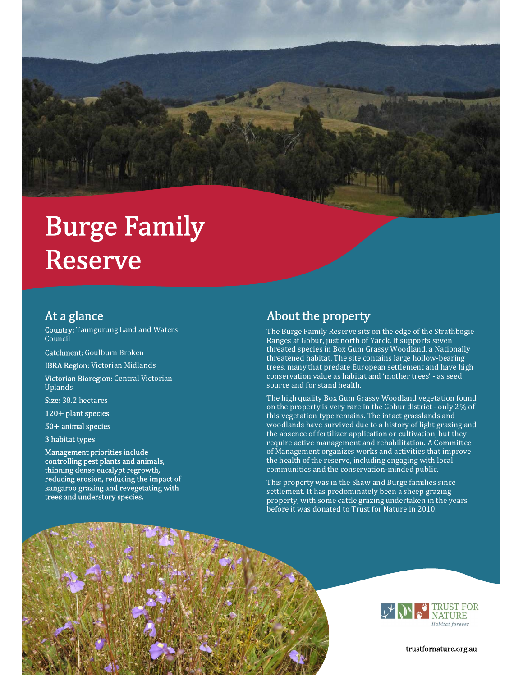# **Burge Family Reserve**

### At a glance

Country: Taungurung Land and Waters Council

Catchment: Goulburn Broken

IBRA Region: Victorian Midlands

Victorian Bioregion: Central Victorian Uplands

Size: 38.2 hectares

120+ plant species

50+ animal species

#### 3 habitat types

Management priorities include controlling pest plants and animals, thinning dense eucalypt regrowth, reducing erosion, reducing the impact of kangaroo grazing and revegetating with trees and understory species.

## About the property

The Burge Family Reserve sits on the edge of the Strathbogie Ranges at Gobur, just north of Yarck. It supports seven threated species in Box Gum Grassy Woodland, a Nationally threatened habitat. The site contains large hollow-bearing trees, many that predate European settlement and have high conservation value as habitat and 'mother trees' - as seed source and for stand health.

The high quality Box Gum Grassy Woodland vegetation found on the property is very rare in the Gobur district - only 2% of this vegetation type remains. The intact grasslands and woodlands have survived due to a history of light grazing and the absence of fertilizer application or cultivation, but they require active management and rehabilitation. A Committee of Management organizes works and activities that improve the health of the reserve, including engaging with local communities and the conservation-minded public.

This property was in the Shaw and Burge families since settlement. It has predominately been a sheep grazing property, with some cattle grazing undertaken in the years before it was donated to Trust for Nature in 2010.





trustfornature.org.au